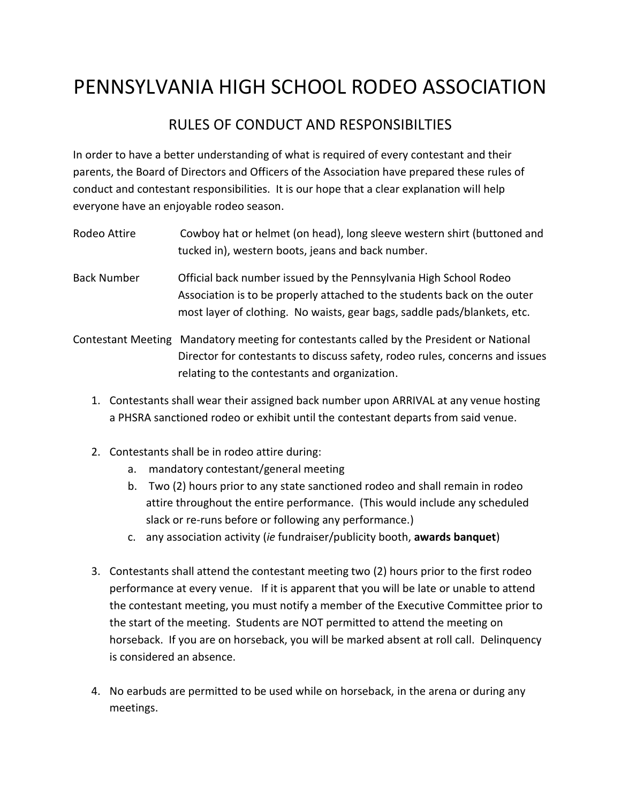## PENNSYLVANIA HIGH SCHOOL RODEO ASSOCIATION

## RULES OF CONDUCT AND RESPONSIBILTIES

In order to have a better understanding of what is required of every contestant and their parents, the Board of Directors and Officers of the Association have prepared these rules of conduct and contestant responsibilities. It is our hope that a clear explanation will help everyone have an enjoyable rodeo season.

- Rodeo Attire Cowboy hat or helmet (on head), long sleeve western shirt (buttoned and tucked in), western boots, jeans and back number.
- Back Number Official back number issued by the Pennsylvania High School Rodeo Association is to be properly attached to the students back on the outer most layer of clothing. No waists, gear bags, saddle pads/blankets, etc.
- Contestant Meeting Mandatory meeting for contestants called by the President or National Director for contestants to discuss safety, rodeo rules, concerns and issues relating to the contestants and organization.
	- 1. Contestants shall wear their assigned back number upon ARRIVAL at any venue hosting a PHSRA sanctioned rodeo or exhibit until the contestant departs from said venue.
	- 2. Contestants shall be in rodeo attire during:
		- a. mandatory contestant/general meeting
		- b. Two (2) hours prior to any state sanctioned rodeo and shall remain in rodeo attire throughout the entire performance. (This would include any scheduled slack or re-runs before or following any performance.)
		- c. any association activity (*ie* fundraiser/publicity booth, **awards banquet**)
	- 3. Contestants shall attend the contestant meeting two (2) hours prior to the first rodeo performance at every venue. If it is apparent that you will be late or unable to attend the contestant meeting, you must notify a member of the Executive Committee prior to the start of the meeting. Students are NOT permitted to attend the meeting on horseback. If you are on horseback, you will be marked absent at roll call. Delinquency is considered an absence.
	- 4. No earbuds are permitted to be used while on horseback, in the arena or during any meetings.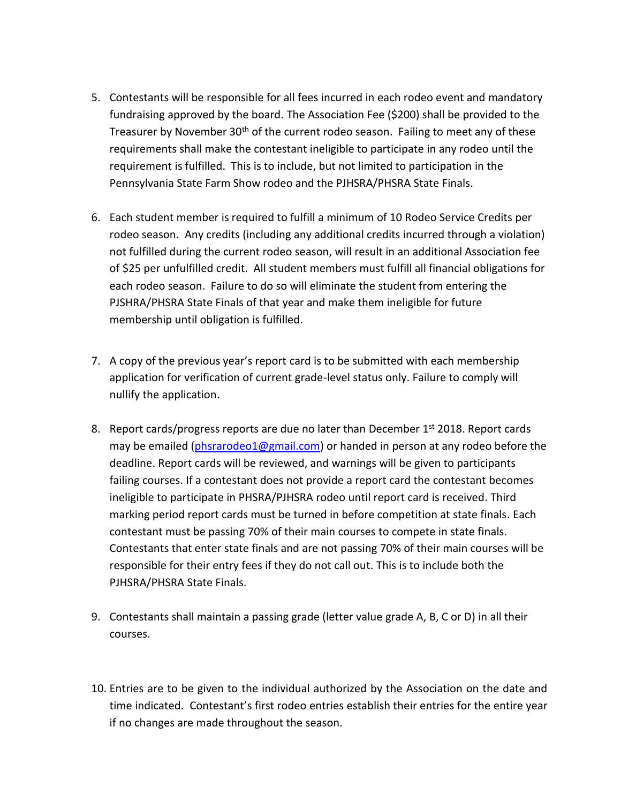- 5. Contestants will be responsible for all fees incurred in each rodeo event and mandatory fundraising approved by the board. The Association Fee (\$200) shall be provided to the Treasurer by November 30<sup>th</sup> of the current rodeo season. Failing to meet any of these requirements shall make the contestant ineligible to participate in any rodeo until the requirement is fulfilled. This is to include, but not limited to participation in the Pennsylvania State Farm Show rodeo and the PJHSRA/PHSRA State Finals.
- 6. Each student member is required to fulfill a minimum of 10 Rodeo Service Credits per rodeo season. Any credits (including any additional credits incurred through a violation) not fulfilled during the current rodeo season, will result in an additional Association fee of \$25 per unfulfilled credit. All student members must fulfill all financial obligations for each rodeo season. Failure to do so will eliminate the student from entering the PJSHRA/PHSRA State Finals of that year and make them ineligible for future membership until obligation is fulfilled.
- 7. A copy of the previous year's report card is to be submitted with each membership application for verification of current grade-level status only. Failure to comply will nullify the application.
- 8. Report cards/progress reports are due no later than December 1<sup>st</sup> 2018. Report cards may be emailed [\(phsrarodeo1@gmail.com\)](mailto:phsrarodeo1@gmail.com) or handed in person at any rodeo before the deadline. Report cards will be reviewed, and warnings will be given to participants failing courses. If a contestant does not provide a report card the contestant becomes ineligible to participate in PHSRA/PJHSRA rodeo until report card is received. Third marking period report cards must be turned in before competition at state finals. Each contestant must be passing 70% of their main courses to compete in state finals. Contestants that enter state finals and are not passing 70% of their main courses will be responsible for their entry fees if they do not call out. This is to include both the PJHSRA/PHSRA State Finals.
- 9. Contestants shall maintain a passing grade (letter value grade A, B, C or D) in all their courses.
- 10. Entries are to be given to the individual authorized by the Association on the date and time indicated. Contestant's first rodeo entries establish their entries for the entire year if no changes are made throughout the season.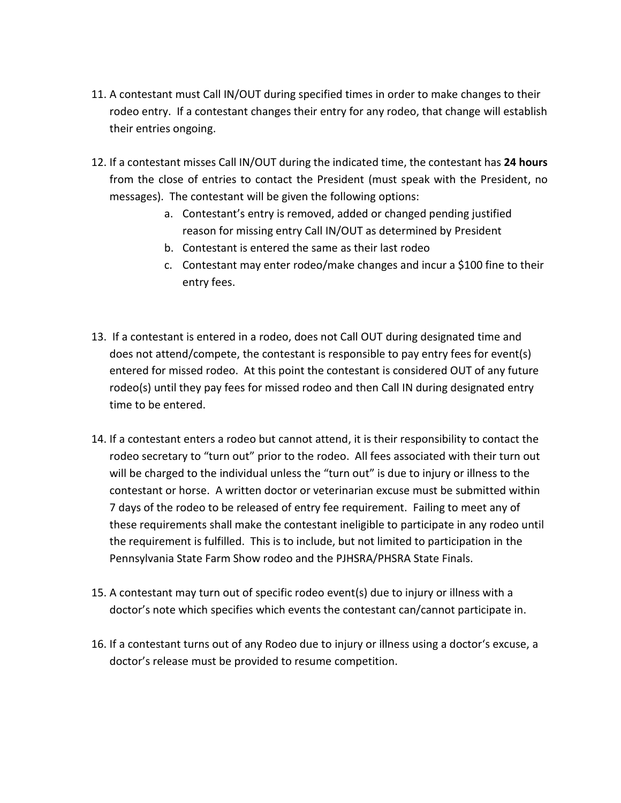- 11. A contestant must Call IN/OUT during specified times in order to make changes to their rodeo entry. If a contestant changes their entry for any rodeo, that change will establish their entries ongoing.
- 12. If a contestant misses Call IN/OUT during the indicated time, the contestant has **24 hours** from the close of entries to contact the President (must speak with the President, no messages). The contestant will be given the following options:
	- a. Contestant's entry is removed, added or changed pending justified reason for missing entry Call IN/OUT as determined by President
	- b. Contestant is entered the same as their last rodeo
	- c. Contestant may enter rodeo/make changes and incur a \$100 fine to their entry fees.
- 13. If a contestant is entered in a rodeo, does not Call OUT during designated time and does not attend/compete, the contestant is responsible to pay entry fees for event(s) entered for missed rodeo. At this point the contestant is considered OUT of any future rodeo(s) until they pay fees for missed rodeo and then Call IN during designated entry time to be entered.
- 14. If a contestant enters a rodeo but cannot attend, it is their responsibility to contact the rodeo secretary to "turn out" prior to the rodeo. All fees associated with their turn out will be charged to the individual unless the "turn out" is due to injury or illness to the contestant or horse. A written doctor or veterinarian excuse must be submitted within 7 days of the rodeo to be released of entry fee requirement. Failing to meet any of these requirements shall make the contestant ineligible to participate in any rodeo until the requirement is fulfilled. This is to include, but not limited to participation in the Pennsylvania State Farm Show rodeo and the PJHSRA/PHSRA State Finals.
- 15. A contestant may turn out of specific rodeo event(s) due to injury or illness with a doctor's note which specifies which events the contestant can/cannot participate in.
- 16. If a contestant turns out of any Rodeo due to injury or illness using a doctor's excuse, a doctor's release must be provided to resume competition.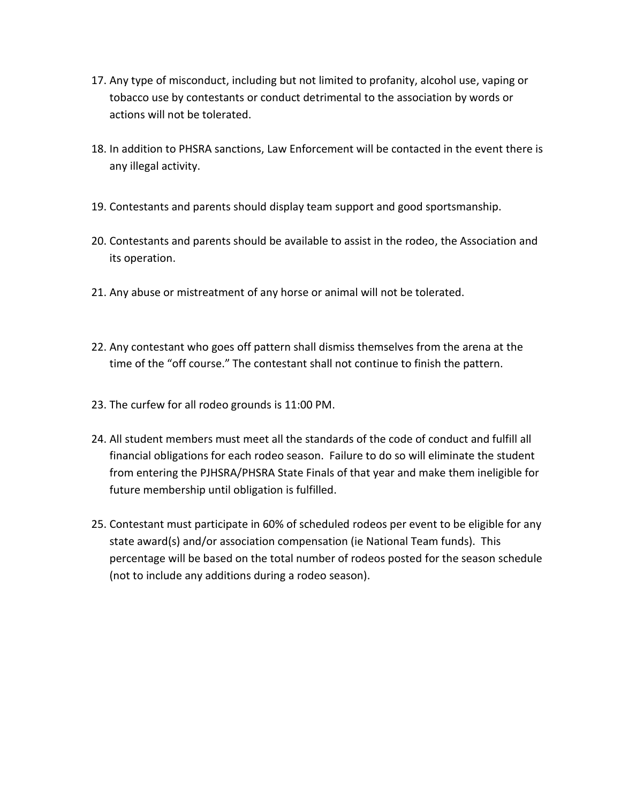- 17. Any type of misconduct, including but not limited to profanity, alcohol use, vaping or tobacco use by contestants or conduct detrimental to the association by words or actions will not be tolerated.
- 18. In addition to PHSRA sanctions, Law Enforcement will be contacted in the event there is any illegal activity.
- 19. Contestants and parents should display team support and good sportsmanship.
- 20. Contestants and parents should be available to assist in the rodeo, the Association and its operation.
- 21. Any abuse or mistreatment of any horse or animal will not be tolerated.
- 22. Any contestant who goes off pattern shall dismiss themselves from the arena at the time of the "off course." The contestant shall not continue to finish the pattern.
- 23. The curfew for all rodeo grounds is 11:00 PM.
- 24. All student members must meet all the standards of the code of conduct and fulfill all financial obligations for each rodeo season. Failure to do so will eliminate the student from entering the PJHSRA/PHSRA State Finals of that year and make them ineligible for future membership until obligation is fulfilled.
- 25. Contestant must participate in 60% of scheduled rodeos per event to be eligible for any state award(s) and/or association compensation (ie National Team funds). This percentage will be based on the total number of rodeos posted for the season schedule (not to include any additions during a rodeo season).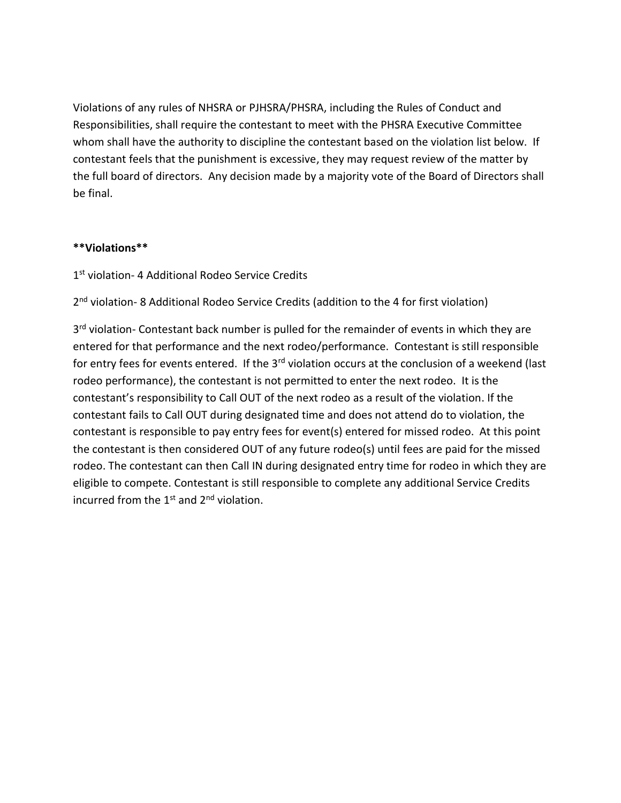Violations of any rules of NHSRA or PJHSRA/PHSRA, including the Rules of Conduct and Responsibilities, shall require the contestant to meet with the PHSRA Executive Committee whom shall have the authority to discipline the contestant based on the violation list below. If contestant feels that the punishment is excessive, they may request review of the matter by the full board of directors. Any decision made by a majority vote of the Board of Directors shall be final.

## **\*\*Violations\*\***

## 1<sup>st</sup> violation- 4 Additional Rodeo Service Credits

2<sup>nd</sup> violation- 8 Additional Rodeo Service Credits (addition to the 4 for first violation)

3<sup>rd</sup> violation- Contestant back number is pulled for the remainder of events in which they are entered for that performance and the next rodeo/performance. Contestant is still responsible for entry fees for events entered. If the 3<sup>rd</sup> violation occurs at the conclusion of a weekend (last rodeo performance), the contestant is not permitted to enter the next rodeo. It is the contestant's responsibility to Call OUT of the next rodeo as a result of the violation. If the contestant fails to Call OUT during designated time and does not attend do to violation, the contestant is responsible to pay entry fees for event(s) entered for missed rodeo. At this point the contestant is then considered OUT of any future rodeo(s) until fees are paid for the missed rodeo. The contestant can then Call IN during designated entry time for rodeo in which they are eligible to compete. Contestant is still responsible to complete any additional Service Credits incurred from the  $1<sup>st</sup>$  and  $2<sup>nd</sup>$  violation.